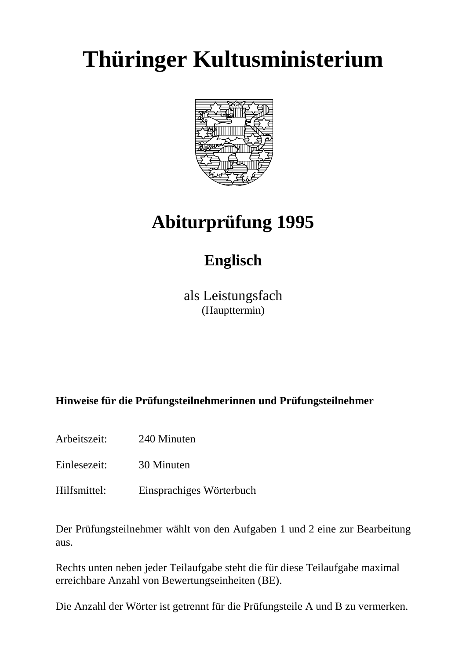# **Thüringer Kultusministerium**



# **Abiturprüfung 1995**

# **Englisch**

als Leistungsfach (Haupttermin)

### **Hinweise für die Prüfungsteilnehmerinnen und Prüfungsteilnehmer**

Arbeitszeit: 240 Minuten

Einlesezeit: 30 Minuten

Hilfsmittel: Einsprachiges Wörterbuch

Der Prüfungsteilnehmer wählt von den Aufgaben 1 und 2 eine zur Bearbeitung aus.

Rechts unten neben jeder Teilaufgabe steht die für diese Teilaufgabe maximal erreichbare Anzahl von Bewertungseinheiten (BE).

Die Anzahl der Wörter ist getrennt für die Prüfungsteile A und B zu vermerken.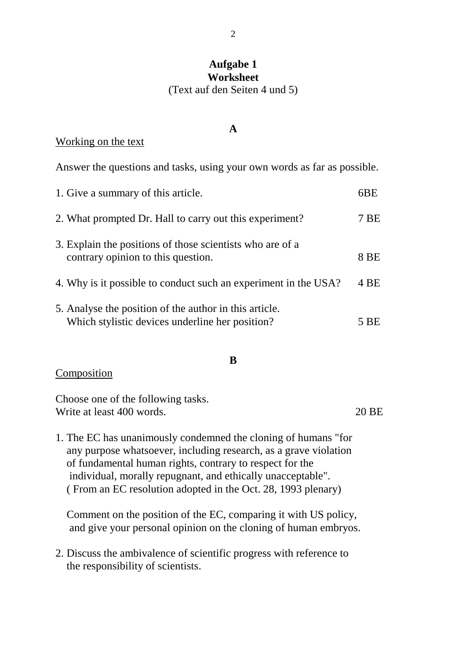#### **Aufgabe 1 Worksheet**  (Text auf den Seiten 4 und 5)

#### **A**

#### Working on the text

| Answer the questions and tasks, using your own words as far as possible.                                  |      |
|-----------------------------------------------------------------------------------------------------------|------|
| 1. Give a summary of this article.                                                                        | 6BE  |
| 2. What prompted Dr. Hall to carry out this experiment?                                                   | 7 BE |
| 3. Explain the positions of those scientists who are of a<br>contrary opinion to this question.           | 8 BE |
| 4. Why is it possible to conduct such an experiment in the USA?                                           | 4 BE |
| 5. Analyse the position of the author in this article.<br>Which stylistic devices underline her position? | 5 BE |

#### Composition

**B**

Choose one of the following tasks. Write at least 400 words. 20 BE

1. The EC has unanimously condemned the cloning of humans "for any purpose whatsoever, including research, as a grave violation of fundamental human rights, contrary to respect for the individual, morally repugnant, and ethically unacceptable". ( From an EC resolution adopted in the Oct. 28, 1993 plenary)

 Comment on the position of the EC, comparing it with US policy, and give your personal opinion on the cloning of human embryos.

2. Discuss the ambivalence of scientific progress with reference to the responsibility of scientists.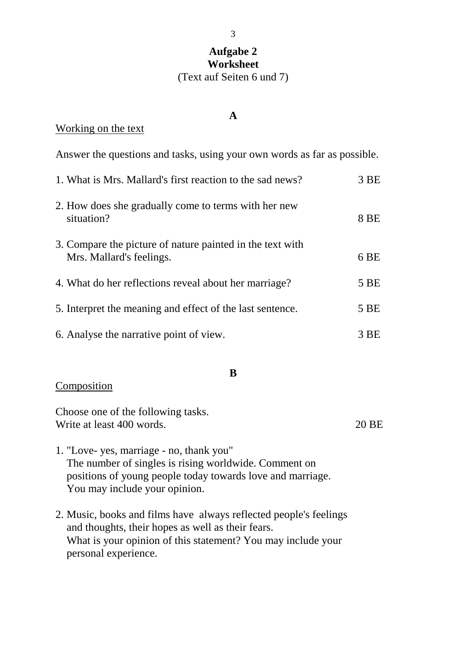### **Aufgabe 2 Worksheet**  (Text auf Seiten 6 und 7)

#### **A**

#### Working on the text

Answer the questions and tasks, using your own words as far as possible.

| 1. What is Mrs. Mallard's first reaction to the sad news?                             | 3 BE |
|---------------------------------------------------------------------------------------|------|
| 2. How does she gradually come to terms with her new<br>situation?                    | 8 BE |
| 3. Compare the picture of nature painted in the text with<br>Mrs. Mallard's feelings. | 6 BE |
| 4. What do her reflections reveal about her marriage?                                 | 5 BE |
| 5. Interpret the meaning and effect of the last sentence.                             | 5 BE |
| 6. Analyse the narrative point of view.                                               | 3 BE |

#### **B**

Composition

Choose one of the following tasks. Write at least 400 words. 20 BE

- 1. "Love- yes, marriage no, thank you" The number of singles is rising worldwide. Comment on positions of young people today towards love and marriage. You may include your opinion.
- 2. Music, books and films have always reflected people's feelings and thoughts, their hopes as well as their fears. What is your opinion of this statement? You may include your personal experience.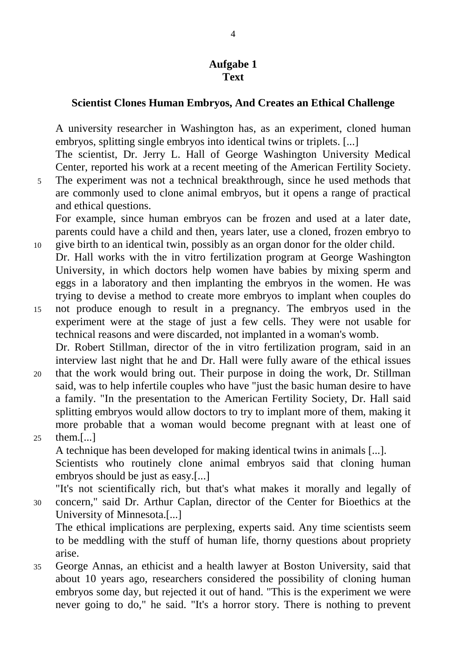#### **Aufgabe 1 Text**

#### **Scientist Clones Human Embryos, And Creates an Ethical Challenge**

A university researcher in Washington has, as an experiment, cloned human embryos, splitting single embryos into identical twins or triplets. [...] The scientist, Dr. Jerry L. Hall of George Washington University Medical

Center, reported his work at a recent meeting of the American Fertility Society.

5 The experiment was not a technical breakthrough, since he used methods that are commonly used to clone animal embryos, but it opens a range of practical and ethical questions.

For example, since human embryos can be frozen and used at a later date, parents could have a child and then, years later, use a cloned, frozen embryo to 10 give birth to an identical twin, possibly as an organ donor for the older child.

- Dr. Hall works with the in vitro fertilization program at George Washington University, in which doctors help women have babies by mixing sperm and eggs in a laboratory and then implanting the embryos in the women. He was trying to devise a method to create more embryos to implant when couples do
- 15 not produce enough to result in a pregnancy. The embryos used in the experiment were at the stage of just a few cells. They were not usable for technical reasons and were discarded, not implanted in a woman's womb. Dr. Robert Stillman, director of the in vitro fertilization program, said in an
- interview last night that he and Dr. Hall were fully aware of the ethical issues 20 that the work would bring out. Their purpose in doing the work, Dr. Stillman said, was to help infertile couples who have "just the basic human desire to have a family. "In the presentation to the American Fertility Society, Dr. Hall said splitting embryos would allow doctors to try to implant more of them, making it more probable that a woman would become pregnant with at least one of 25 them.[...]

A technique has been developed for making identical twins in animals [...]. Scientists who routinely clone animal embryos said that cloning human embryos should be just as easy.[...]

"It's not scientifically rich, but that's what makes it morally and legally of 30 concern," said Dr. Arthur Caplan, director of the Center for Bioethics at the University of Minnesota.[...]

The ethical implications are perplexing, experts said. Any time scientists seem to be meddling with the stuff of human life, thorny questions about propriety arise.

35 George Annas, an ethicist and a health lawyer at Boston University, said that about 10 years ago, researchers considered the possibility of cloning human embryos some day, but rejected it out of hand. "This is the experiment we were never going to do," he said. "It's a horror story. There is nothing to prevent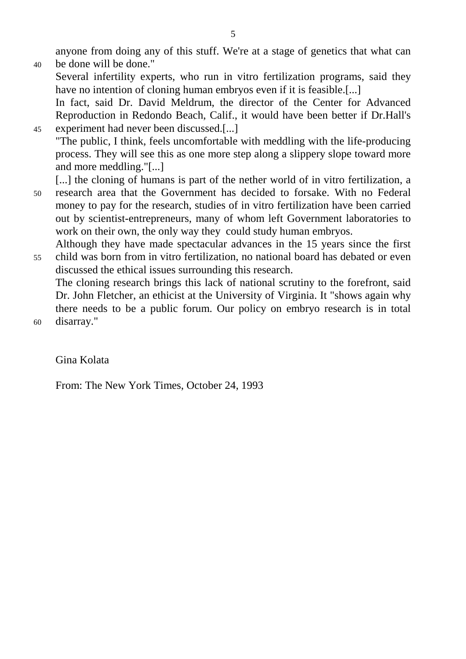anyone from doing any of this stuff. We're at a stage of genetics that what can 40 be done will be done."

Several infertility experts, who run in vitro fertilization programs, said they have no intention of cloning human embryos even if it is feasible.[...]

In fact, said Dr. David Meldrum, the director of the Center for Advanced Reproduction in Redondo Beach, Calif., it would have been better if Dr.Hall's 45 experiment had never been discussed.[...]

"The public, I think, feels uncomfortable with meddling with the life-producing process. They will see this as one more step along a slippery slope toward more and more meddling."[...]

[...] the cloning of humans is part of the nether world of in vitro fertilization, a

- 50 research area that the Government has decided to forsake. With no Federal money to pay for the research, studies of in vitro fertilization have been carried out by scientist-entrepreneurs, many of whom left Government laboratories to work on their own, the only way they could study human embryos.
- Although they have made spectacular advances in the 15 years since the first 55 child was born from in vitro fertilization, no national board has debated or even discussed the ethical issues surrounding this research.

The cloning research brings this lack of national scrutiny to the forefront, said Dr. John Fletcher, an ethicist at the University of Virginia. It "shows again why there needs to be a public forum. Our policy on embryo research is in total 60 disarray."

Gina Kolata

From: The New York Times, October 24, 1993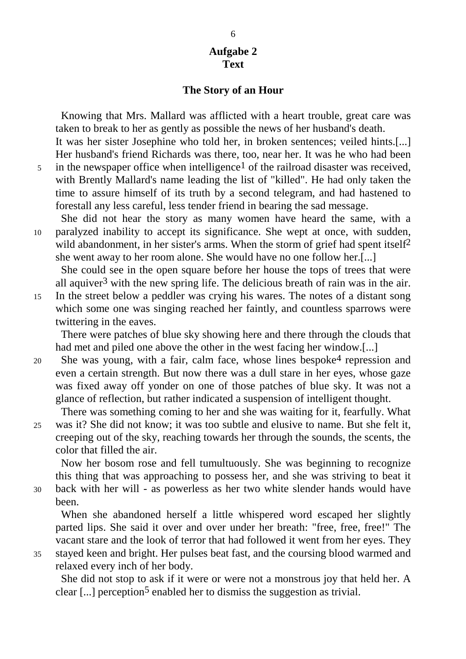## **Aufgabe 2 Text**

#### **The Story of an Hour**

 Knowing that Mrs. Mallard was afflicted with a heart trouble, great care was taken to break to her as gently as possible the news of her husband's death.

It was her sister Josephine who told her, in broken sentences; veiled hints.[...] Her husband's friend Richards was there, too, near her. It was he who had been  $\delta$  in the newspaper office when intelligence<sup>1</sup> of the railroad disaster was received, with Brently Mallard's name leading the list of "killed". He had only taken the time to assure himself of its truth by a second telegram, and had hastened to forestall any less careful, less tender friend in bearing the sad message.

 She did not hear the story as many women have heard the same, with a 10 paralyzed inability to accept its significance. She wept at once, with sudden, wild abandonment, in her sister's arms. When the storm of grief had spent itself<sup>2</sup> she went away to her room alone. She would have no one follow her.[...]

 She could see in the open square before her house the tops of trees that were all aquiver<sup>3</sup> with the new spring life. The delicious breath of rain was in the air.

15 In the street below a peddler was crying his wares. The notes of a distant song which some one was singing reached her faintly, and countless sparrows were twittering in the eaves.

 There were patches of blue sky showing here and there through the clouds that had met and piled one above the other in the west facing her window.[...]

- 20 She was young, with a fair, calm face, whose lines bespoke4 repression and even a certain strength. But now there was a dull stare in her eyes, whose gaze was fixed away off yonder on one of those patches of blue sky. It was not a glance of reflection, but rather indicated a suspension of intelligent thought.
- There was something coming to her and she was waiting for it, fearfully. What 25 was it? She did not know; it was too subtle and elusive to name. But she felt it, creeping out of the sky, reaching towards her through the sounds, the scents, the color that filled the air.

 Now her bosom rose and fell tumultuously. She was beginning to recognize this thing that was approaching to possess her, and she was striving to beat it 30 back with her will - as powerless as her two white slender hands would have

been.

 When she abandoned herself a little whispered word escaped her slightly parted lips. She said it over and over under her breath: "free, free, free!" The vacant stare and the look of terror that had followed it went from her eyes. They

35 stayed keen and bright. Her pulses beat fast, and the coursing blood warmed and relaxed every inch of her body.

 She did not stop to ask if it were or were not a monstrous joy that held her. A clear  $\left[\ldots\right]$  perception<sup>5</sup> enabled her to dismiss the suggestion as trivial.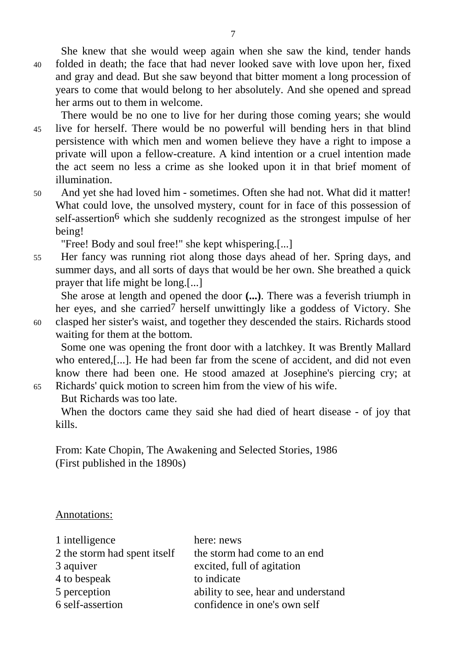She knew that she would weep again when she saw the kind, tender hands 40 folded in death; the face that had never looked save with love upon her, fixed and gray and dead. But she saw beyond that bitter moment a long procession of years to come that would belong to her absolutely. And she opened and spread her arms out to them in welcome.

 There would be no one to live for her during those coming years; she would 45 live for herself. There would be no powerful will bending hers in that blind persistence with which men and women believe they have a right to impose a private will upon a fellow-creature. A kind intention or a cruel intention made the act seem no less a crime as she looked upon it in that brief moment of illumination.

50 And yet she had loved him - sometimes. Often she had not. What did it matter! What could love, the unsolved mystery, count for in face of this possession of self-assertion<sup>6</sup> which she suddenly recognized as the strongest impulse of her being!

"Free! Body and soul free!" she kept whispering.[...]

55 Her fancy was running riot along those days ahead of her. Spring days, and summer days, and all sorts of days that would be her own. She breathed a quick prayer that life might be long.[...]

 She arose at length and opened the door **(...)**. There was a feverish triumph in her eyes, and she carried<sup>7</sup> herself unwittingly like a goddess of Victory. She

60 clasped her sister's waist, and together they descended the stairs. Richards stood waiting for them at the bottom.

 Some one was opening the front door with a latchkey. It was Brently Mallard who entered,[...]. He had been far from the scene of accident, and did not even know there had been one. He stood amazed at Josephine's piercing cry; at 65 Richards' quick motion to screen him from the view of his wife.

But Richards was too late.

 When the doctors came they said she had died of heart disease - of joy that kills.

From: Kate Chopin, The Awakening and Selected Stories, 1986 (First published in the 1890s)

#### Annotations:

| 1 intelligence               | here: news                          |
|------------------------------|-------------------------------------|
| 2 the storm had spent itself | the storm had come to an end        |
| 3 aquiver                    | excited, full of agitation          |
| 4 to bespeak                 | to indicate                         |
| 5 perception                 | ability to see, hear and understand |
| 6 self-assertion             | confidence in one's own self        |